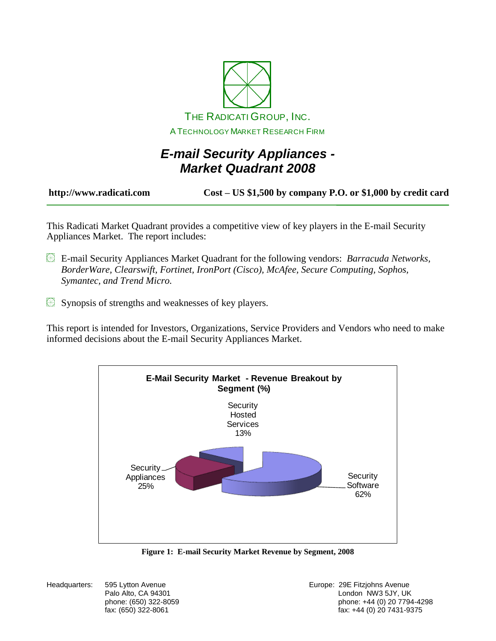

# *E-mail Security Appliances - Market Quadrant 2008*

**http://www.radicati.com Cost – US \$1,500 by company P.O. or \$1,000 by credit card**

This Radicati Market Quadrant provides a competitive view of key players in the E-mail Security Appliances Market. The report includes:

- E-mail Security Appliances Market Quadrant for the following vendors: *Barracuda Networks, BorderWare, Clearswift, Fortinet, IronPort (Cisco), McAfee, Secure Computing, Sophos, Symantec, and Trend Micro.*
- Synopsis of strengths and weaknesses of key players.

This report is intended for Investors, Organizations, Service Providers and Vendors who need to make informed decisions about the E-mail Security Appliances Market.



**Figure 1: E-mail Security Market Revenue by Segment, 2008**

Headquarters: 595 Lytton Avenue **Europe: 295 Fitzjohns Avenue** Europe: 29E Fitzjohns Avenue Palo Alto, CA 94301 **Disk and Alto, CA 94301** London NW3 5JY, UK phone: (650) 322-8059 phone: +44 (0) 20 7794-4298 fax: +44 (0) 20 7431-9375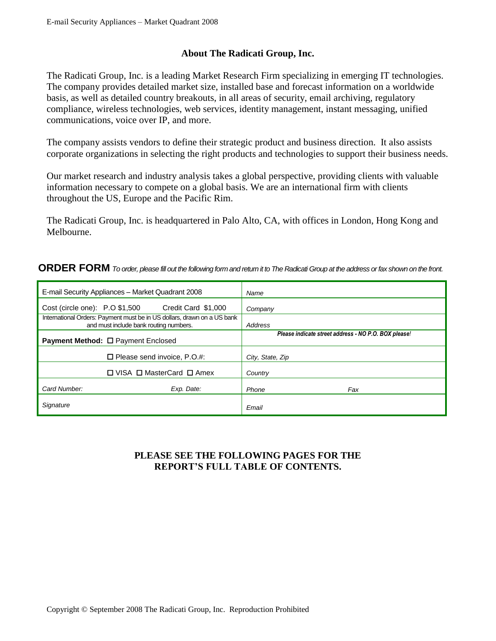## **About The Radicati Group, Inc.**

The Radicati Group, Inc. is a leading Market Research Firm specializing in emerging IT technologies. The company provides detailed market size, installed base and forecast information on a worldwide basis, as well as detailed country breakouts, in all areas of security, email archiving, regulatory compliance, wireless technologies, web services, identity management, instant messaging, unified communications, voice over IP, and more.

The company assists vendors to define their strategic product and business direction. It also assists corporate organizations in selecting the right products and technologies to support their business needs.

Our market research and industry analysis takes a global perspective, providing clients with valuable information necessary to compete on a global basis. We are an international firm with clients throughout the US, Europe and the Pacific Rim.

The Radicati Group, Inc. is headquartered in Palo Alto, CA, with offices in London, Hong Kong and Melbourne.

#### **ORDER FORM** *To order, please fill out the following form and return it to The Radicati Group at the address or fax shown on the front.*

| E-mail Security Appliances - Market Quadrant 2008                                                                 | Name                                                 |
|-------------------------------------------------------------------------------------------------------------------|------------------------------------------------------|
| Credit Card \$1,000<br>Cost (circle one): P.O \$1,500                                                             | Company                                              |
| International Orders: Payment must be in US dollars, drawn on a US bank<br>and must include bank routing numbers. | Address                                              |
| <b>Payment Method: □ Payment Enclosed</b>                                                                         | Please indicate street address - NO P.O. BOX please! |
| $\Box$ Please send invoice, P.O.#:                                                                                | City, State, Zip                                     |
| $\Box$ VISA $\Box$ MasterCard $\Box$ Amex                                                                         | Country                                              |
| Card Number:<br>Exp. Date:                                                                                        | Phone<br>Fax                                         |
| Signature                                                                                                         | Email                                                |

### **PLEASE SEE THE FOLLOWING PAGES FOR THE REPORT'S FULL TABLE OF CONTENTS.**